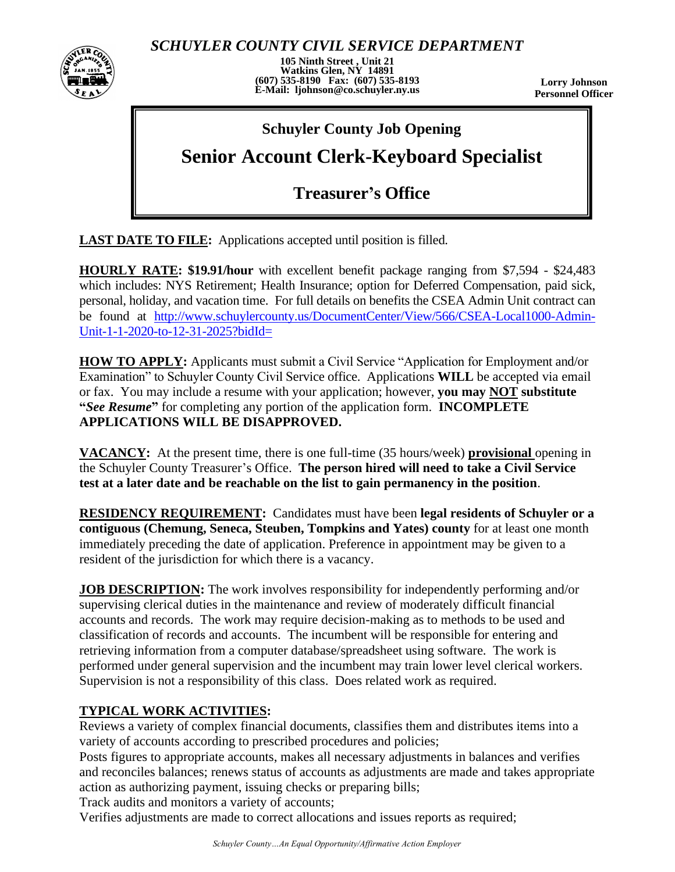

*SCHUYLER COUNTY CIVIL SERVICE DEPARTMENT*

**105 Ninth Street , Unit 21 Watkins Glen, NY 14891 (607) 535-8190 Fax: (607) 535-8193 E-Mail: ljohnson@co.schuyler.ny.us**

**Lorry Johnson Personnel Officer**

### **Schuyler County Job Opening**

# **Senior Account Clerk-Keyboard Specialist**

## **Treasurer's Office**

**LAST DATE TO FILE:** Applications accepted until position is filled.

**HOURLY RATE: \$19.91/hour** with excellent benefit package ranging from \$7,594 - \$24,483 which includes: NYS Retirement; Health Insurance; option for Deferred Compensation, paid sick, personal, holiday, and vacation time. For full details on benefits the CSEA Admin Unit contract can be found at [http://www.schuylercounty.us/DocumentCenter/View/566/CSEA-Local1000-Admin-](http://www.schuylercounty.us/DocumentCenter/View/566/CSEA-Local1000-Admin-Unit-1-1-2020-to-12-31-2025?bidId=)[Unit-1-1-2020-to-12-31-2025?bidId=](http://www.schuylercounty.us/DocumentCenter/View/566/CSEA-Local1000-Admin-Unit-1-1-2020-to-12-31-2025?bidId=)

**HOW TO APPLY:** Applicants must submit a Civil Service "Application for Employment and/or Examination" to Schuyler County Civil Service office. Applications **WILL** be accepted via email or fax. You may include a resume with your application; however, **you may NOT substitute "***See Resume***"** for completing any portion of the application form. **INCOMPLETE APPLICATIONS WILL BE DISAPPROVED.**

**VACANCY:** At the present time, there is one full-time (35 hours/week) **provisional** opening in the Schuyler County Treasurer's Office. **The person hired will need to take a Civil Service test at a later date and be reachable on the list to gain permanency in the position**.

**RESIDENCY REQUIREMENT:** Candidates must have been **legal residents of Schuyler or a contiguous (Chemung, Seneca, Steuben, Tompkins and Yates) county** for at least one month immediately preceding the date of application. Preference in appointment may be given to a resident of the jurisdiction for which there is a vacancy.

**JOB DESCRIPTION:** The work involves responsibility for independently performing and/or supervising clerical duties in the maintenance and review of moderately difficult financial accounts and records. The work may require decision-making as to methods to be used and classification of records and accounts. The incumbent will be responsible for entering and retrieving information from a computer database/spreadsheet using software. The work is performed under general supervision and the incumbent may train lower level clerical workers. Supervision is not a responsibility of this class. Does related work as required.

#### **TYPICAL WORK ACTIVITIES:**

Reviews a variety of complex financial documents, classifies them and distributes items into a variety of accounts according to prescribed procedures and policies;

Posts figures to appropriate accounts, makes all necessary adjustments in balances and verifies and reconciles balances; renews status of accounts as adjustments are made and takes appropriate action as authorizing payment, issuing checks or preparing bills;

Track audits and monitors a variety of accounts;

Verifies adjustments are made to correct allocations and issues reports as required;